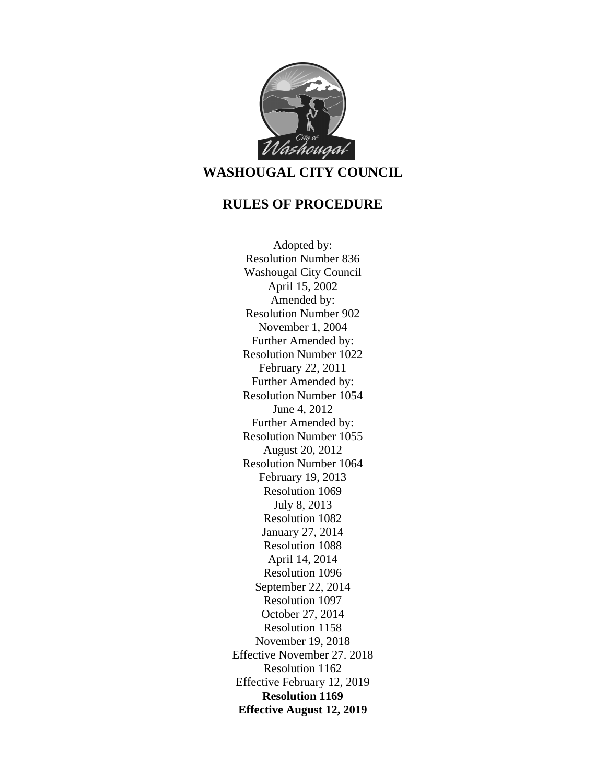

# **WASHOUGAL CITY COUNCIL**

# **RULES OF PROCEDURE**

Adopted by: Resolution Number 836 Washougal City Council April 15, 2002 Amended by: Resolution Number 902 November 1, 2004 Further Amended by: Resolution Number 1022 February 22, 2011 Further Amended by: Resolution Number 1054 June 4, 2012 Further Amended by: Resolution Number 1055 August 20, 2012 Resolution Number 1064 February 19, 2013 Resolution 1069 July 8, 2013 Resolution 1082 January 27, 2014 Resolution 1088 April 14, 2014 Resolution 1096 September 22, 2014 Resolution 1097 October 27, 2014 Resolution 1158 November 19, 2018 Effective November 27. 2018 Resolution 1162 Effective February 12, 2019 **Resolution 1169 Effective August 12, 2019**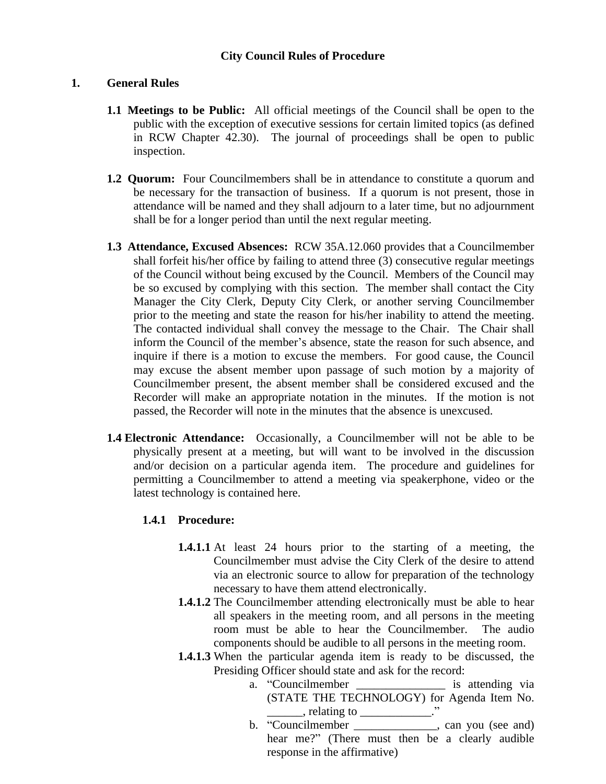#### **City Council Rules of Procedure**

#### **1. General Rules**

- **1.1 Meetings to be Public:** All official meetings of the Council shall be open to the public with the exception of executive sessions for certain limited topics (as defined in RCW Chapter 42.30). The journal of proceedings shall be open to public inspection.
- **1.2 Quorum:** Four Councilmembers shall be in attendance to constitute a quorum and be necessary for the transaction of business. If a quorum is not present, those in attendance will be named and they shall adjourn to a later time, but no adjournment shall be for a longer period than until the next regular meeting.
- **1.3 Attendance, Excused Absences:** RCW 35A.12.060 provides that a Councilmember shall forfeit his/her office by failing to attend three (3) consecutive regular meetings of the Council without being excused by the Council. Members of the Council may be so excused by complying with this section. The member shall contact the City Manager the City Clerk, Deputy City Clerk, or another serving Councilmember prior to the meeting and state the reason for his/her inability to attend the meeting. The contacted individual shall convey the message to the Chair. The Chair shall inform the Council of the member's absence, state the reason for such absence, and inquire if there is a motion to excuse the members. For good cause, the Council may excuse the absent member upon passage of such motion by a majority of Councilmember present, the absent member shall be considered excused and the Recorder will make an appropriate notation in the minutes. If the motion is not passed, the Recorder will note in the minutes that the absence is unexcused.
- **1.4 Electronic Attendance:** Occasionally, a Councilmember will not be able to be physically present at a meeting, but will want to be involved in the discussion and/or decision on a particular agenda item. The procedure and guidelines for permitting a Councilmember to attend a meeting via speakerphone, video or the latest technology is contained here.

# **1.4.1 Procedure:**

- **1.4.1.1** At least 24 hours prior to the starting of a meeting, the Councilmember must advise the City Clerk of the desire to attend via an electronic source to allow for preparation of the technology necessary to have them attend electronically.
- **1.4.1.2** The Councilmember attending electronically must be able to hear all speakers in the meeting room, and all persons in the meeting room must be able to hear the Councilmember. The audio components should be audible to all persons in the meeting room.
- **1.4.1.3** When the particular agenda item is ready to be discussed, the Presiding Officer should state and ask for the record:
	- a. "Councilmember \_\_\_\_\_\_\_\_\_\_\_\_\_\_\_ is attending via (STATE THE TECHNOLOGY) for Agenda Item No.  $\blacksquare$ , relating to  $\blacksquare$ .
	- b. "Councilmember \_\_\_\_\_\_\_\_\_\_\_\_\_\_, can you (see and) hear me?" (There must then be a clearly audible response in the affirmative)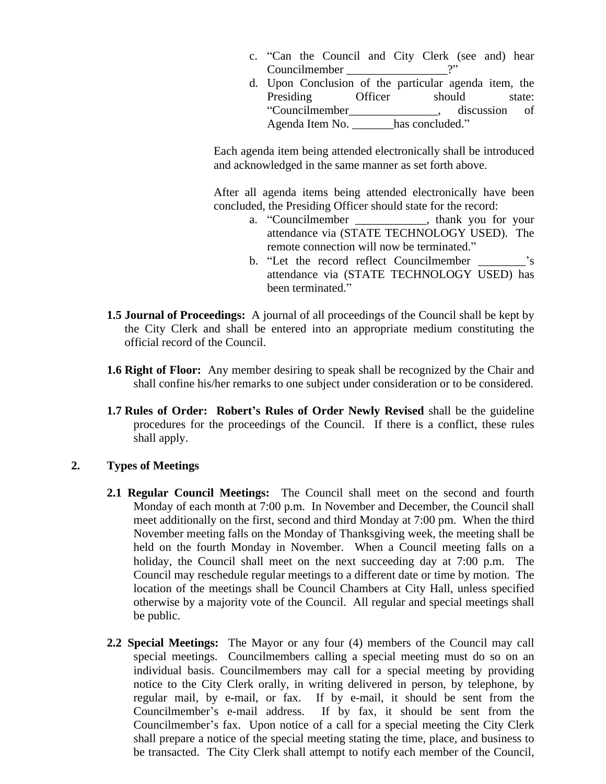- c. "Can the Council and City Clerk (see and) hear Councilmember 2"
- d. Upon Conclusion of the particular agenda item, the Presiding Officer should state: "Councilmember discussion of Agenda Item No. has concluded."

Each agenda item being attended electronically shall be introduced and acknowledged in the same manner as set forth above.

After all agenda items being attended electronically have been concluded, the Presiding Officer should state for the record:

- a. "Councilmember , thank you for your attendance via (STATE TECHNOLOGY USED). The remote connection will now be terminated."
- b. "Let the record reflect Councilmember  $\cdot$ 's attendance via (STATE TECHNOLOGY USED) has been terminated."
- **1.5 Journal of Proceedings:** A journal of all proceedings of the Council shall be kept by the City Clerk and shall be entered into an appropriate medium constituting the official record of the Council.
- **1.6 Right of Floor:** Any member desiring to speak shall be recognized by the Chair and shall confine his/her remarks to one subject under consideration or to be considered.
- **1.7 Rules of Order: Robert's Rules of Order Newly Revised** shall be the guideline procedures for the proceedings of the Council. If there is a conflict, these rules shall apply.

# **2. Types of Meetings**

- **2.1 Regular Council Meetings:** The Council shall meet on the second and fourth Monday of each month at 7:00 p.m. In November and December, the Council shall meet additionally on the first, second and third Monday at 7:00 pm. When the third November meeting falls on the Monday of Thanksgiving week, the meeting shall be held on the fourth Monday in November. When a Council meeting falls on a holiday, the Council shall meet on the next succeeding day at 7:00 p.m. The Council may reschedule regular meetings to a different date or time by motion. The location of the meetings shall be Council Chambers at City Hall, unless specified otherwise by a majority vote of the Council. All regular and special meetings shall be public.
- **2.2 Special Meetings:** The Mayor or any four (4) members of the Council may call special meetings. Councilmembers calling a special meeting must do so on an individual basis. Councilmembers may call for a special meeting by providing notice to the City Clerk orally, in writing delivered in person, by telephone, by regular mail, by e-mail, or fax. If by e-mail, it should be sent from the Councilmember's e-mail address. If by fax, it should be sent from the Councilmember's fax. Upon notice of a call for a special meeting the City Clerk shall prepare a notice of the special meeting stating the time, place, and business to be transacted. The City Clerk shall attempt to notify each member of the Council,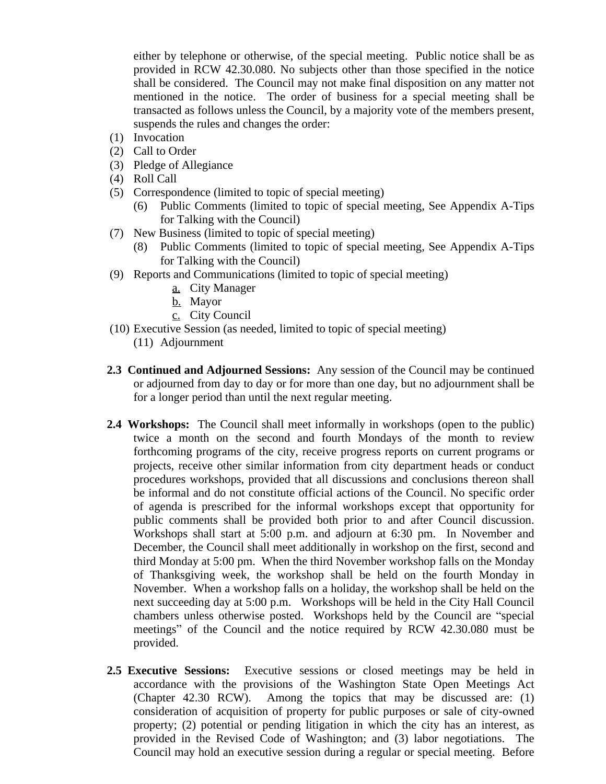either by telephone or otherwise, of the special meeting. Public notice shall be as provided in RCW 42.30.080. No subjects other than those specified in the notice shall be considered. The Council may not make final disposition on any matter not mentioned in the notice. The order of business for a special meeting shall be transacted as follows unless the Council, by a majority vote of the members present, suspends the rules and changes the order:

- (1) Invocation
- (2) Call to Order
- (3) Pledge of Allegiance
- (4) Roll Call
- (5) Correspondence (limited to topic of special meeting)
	- (6) Public Comments (limited to topic of special meeting, See Appendix A-Tips for Talking with the Council)
- (7) New Business (limited to topic of special meeting)
	- (8) Public Comments (limited to topic of special meeting, See Appendix A-Tips for Talking with the Council)
- (9) Reports and Communications (limited to topic of special meeting)
	- a. City Manager
	- b. Mayor
	- c. City Council
- (10) Executive Session (as needed, limited to topic of special meeting)
	- (11) Adjournment
- **2.3 Continued and Adjourned Sessions:** Any session of the Council may be continued or adjourned from day to day or for more than one day, but no adjournment shall be for a longer period than until the next regular meeting.
- **2.4 Workshops:** The Council shall meet informally in workshops (open to the public) twice a month on the second and fourth Mondays of the month to review forthcoming programs of the city, receive progress reports on current programs or projects, receive other similar information from city department heads or conduct procedures workshops, provided that all discussions and conclusions thereon shall be informal and do not constitute official actions of the Council. No specific order of agenda is prescribed for the informal workshops except that opportunity for public comments shall be provided both prior to and after Council discussion. Workshops shall start at 5:00 p.m. and adjourn at 6:30 pm. In November and December, the Council shall meet additionally in workshop on the first, second and third Monday at 5:00 pm. When the third November workshop falls on the Monday of Thanksgiving week, the workshop shall be held on the fourth Monday in November. When a workshop falls on a holiday, the workshop shall be held on the next succeeding day at 5:00 p.m. Workshops will be held in the City Hall Council chambers unless otherwise posted. Workshops held by the Council are "special meetings" of the Council and the notice required by RCW 42.30.080 must be provided.
- **2.5 Executive Sessions:** Executive sessions or closed meetings may be held in accordance with the provisions of the Washington State Open Meetings Act (Chapter 42.30 RCW). Among the topics that may be discussed are: (1) consideration of acquisition of property for public purposes or sale of city-owned property; (2) potential or pending litigation in which the city has an interest, as provided in the Revised Code of Washington; and (3) labor negotiations. The Council may hold an executive session during a regular or special meeting. Before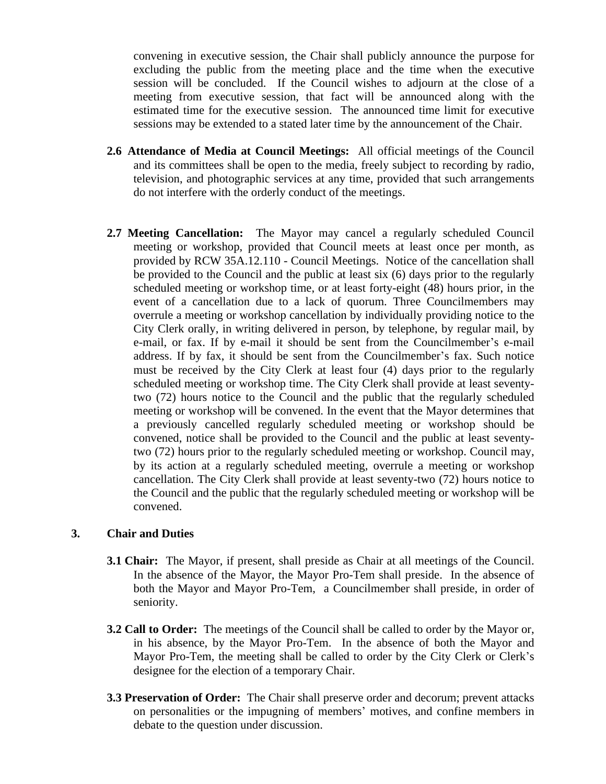convening in executive session, the Chair shall publicly announce the purpose for excluding the public from the meeting place and the time when the executive session will be concluded. If the Council wishes to adjourn at the close of a meeting from executive session, that fact will be announced along with the estimated time for the executive session. The announced time limit for executive sessions may be extended to a stated later time by the announcement of the Chair.

- **2.6 Attendance of Media at Council Meetings:** All official meetings of the Council and its committees shall be open to the media, freely subject to recording by radio, television, and photographic services at any time, provided that such arrangements do not interfere with the orderly conduct of the meetings.
- **2.7 Meeting Cancellation:** The Mayor may cancel a regularly scheduled Council meeting or workshop, provided that Council meets at least once per month, as provided by RCW 35A.12.110 - Council Meetings. Notice of the cancellation shall be provided to the Council and the public at least six (6) days prior to the regularly scheduled meeting or workshop time, or at least forty-eight (48) hours prior, in the event of a cancellation due to a lack of quorum. Three Councilmembers may overrule a meeting or workshop cancellation by individually providing notice to the City Clerk orally, in writing delivered in person, by telephone, by regular mail, by e-mail, or fax. If by e-mail it should be sent from the Councilmember's e-mail address. If by fax, it should be sent from the Councilmember's fax. Such notice must be received by the City Clerk at least four (4) days prior to the regularly scheduled meeting or workshop time. The City Clerk shall provide at least seventytwo (72) hours notice to the Council and the public that the regularly scheduled meeting or workshop will be convened. In the event that the Mayor determines that a previously cancelled regularly scheduled meeting or workshop should be convened, notice shall be provided to the Council and the public at least seventytwo (72) hours prior to the regularly scheduled meeting or workshop. Council may, by its action at a regularly scheduled meeting, overrule a meeting or workshop cancellation. The City Clerk shall provide at least seventy-two (72) hours notice to the Council and the public that the regularly scheduled meeting or workshop will be convened.

# **3. Chair and Duties**

- **3.1 Chair:** The Mayor, if present, shall preside as Chair at all meetings of the Council. In the absence of the Mayor, the Mayor Pro-Tem shall preside. In the absence of both the Mayor and Mayor Pro-Tem, a Councilmember shall preside, in order of seniority.
- **3.2 Call to Order:** The meetings of the Council shall be called to order by the Mayor or, in his absence, by the Mayor Pro-Tem. In the absence of both the Mayor and Mayor Pro-Tem, the meeting shall be called to order by the City Clerk or Clerk's designee for the election of a temporary Chair.
- **3.3 Preservation of Order:** The Chair shall preserve order and decorum; prevent attacks on personalities or the impugning of members' motives, and confine members in debate to the question under discussion.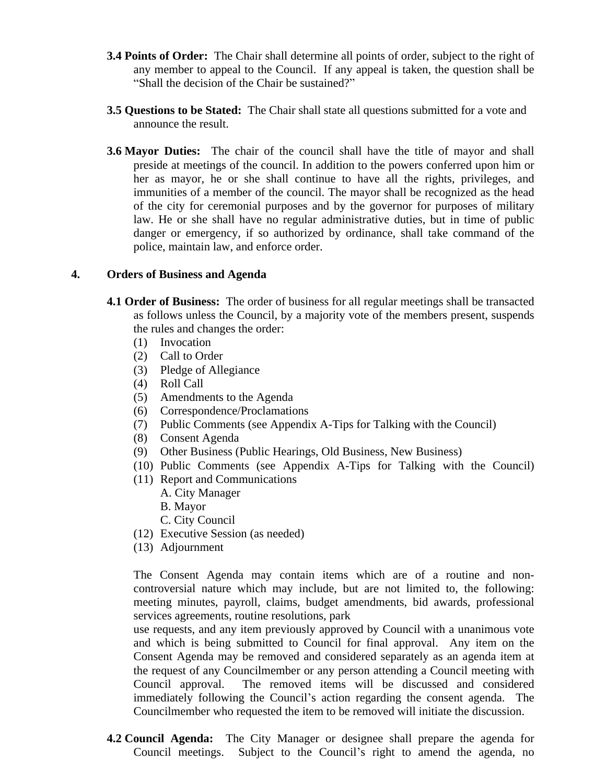- **3.4 Points of Order:** The Chair shall determine all points of order, subject to the right of any member to appeal to the Council. If any appeal is taken, the question shall be "Shall the decision of the Chair be sustained?"
- **3.5 Questions to be Stated:** The Chair shall state all questions submitted for a vote and announce the result.
- **3.6 Mayor Duties:** The chair of the council shall have the title of mayor and shall preside at meetings of the council. In addition to the powers conferred upon him or her as mayor, he or she shall continue to have all the rights, privileges, and immunities of a member of the council. The mayor shall be recognized as the head of the city for ceremonial purposes and by the governor for purposes of military law. He or she shall have no regular administrative duties, but in time of public danger or emergency, if so authorized by ordinance, shall take command of the police, maintain law, and enforce order.

#### **4. Orders of Business and Agenda**

- **4.1 Order of Business:** The order of business for all regular meetings shall be transacted as follows unless the Council, by a majority vote of the members present, suspends the rules and changes the order:
	- (1) Invocation
	- (2) Call to Order
	- (3) Pledge of Allegiance
	- (4) Roll Call
	- (5) Amendments to the Agenda
	- (6) Correspondence/Proclamations
	- (7) Public Comments (see Appendix A-Tips for Talking with the Council)
	- (8) Consent Agenda
	- (9) Other Business (Public Hearings, Old Business, New Business)
	- (10) Public Comments (see Appendix A-Tips for Talking with the Council)
	- (11) Report and Communications
		- A. City Manager
		- B. Mayor
		- C. City Council
	- (12) Executive Session (as needed)
	- (13) Adjournment

The Consent Agenda may contain items which are of a routine and noncontroversial nature which may include, but are not limited to, the following: meeting minutes, payroll, claims, budget amendments, bid awards, professional services agreements, routine resolutions, park

use requests, and any item previously approved by Council with a unanimous vote and which is being submitted to Council for final approval. Any item on the Consent Agenda may be removed and considered separately as an agenda item at the request of any Councilmember or any person attending a Council meeting with Council approval. The removed items will be discussed and considered immediately following the Council's action regarding the consent agenda. The Councilmember who requested the item to be removed will initiate the discussion.

**4.2 Council Agenda:** The City Manager or designee shall prepare the agenda for Council meetings. Subject to the Council's right to amend the agenda, no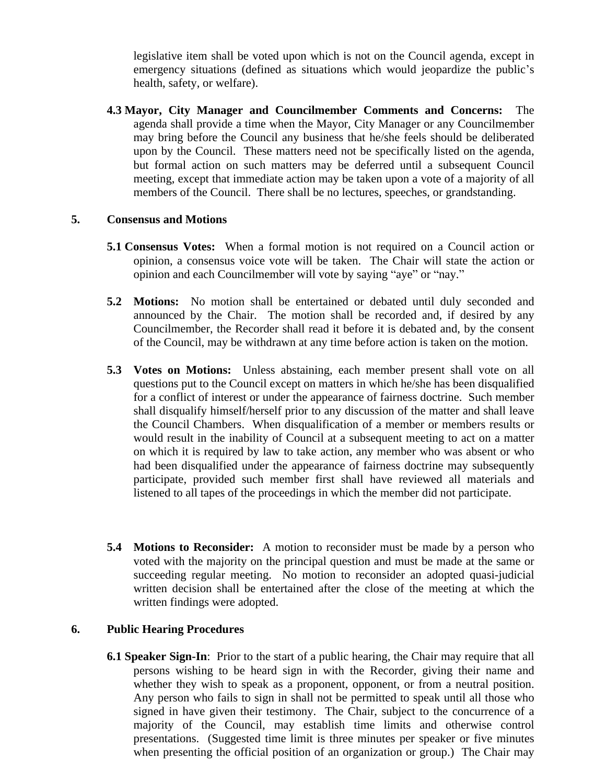legislative item shall be voted upon which is not on the Council agenda, except in emergency situations (defined as situations which would jeopardize the public's health, safety, or welfare).

**4.3 Mayor, City Manager and Councilmember Comments and Concerns:** The agenda shall provide a time when the Mayor, City Manager or any Councilmember may bring before the Council any business that he/she feels should be deliberated upon by the Council. These matters need not be specifically listed on the agenda, but formal action on such matters may be deferred until a subsequent Council meeting, except that immediate action may be taken upon a vote of a majority of all members of the Council. There shall be no lectures, speeches, or grandstanding.

#### **5. Consensus and Motions**

- **5.1 Consensus Votes:** When a formal motion is not required on a Council action or opinion, a consensus voice vote will be taken. The Chair will state the action or opinion and each Councilmember will vote by saying "aye" or "nay."
- **5.2 Motions:** No motion shall be entertained or debated until duly seconded and announced by the Chair. The motion shall be recorded and, if desired by any Councilmember, the Recorder shall read it before it is debated and, by the consent of the Council, may be withdrawn at any time before action is taken on the motion.
- **5.3 Votes on Motions:** Unless abstaining, each member present shall vote on all questions put to the Council except on matters in which he/she has been disqualified for a conflict of interest or under the appearance of fairness doctrine. Such member shall disqualify himself/herself prior to any discussion of the matter and shall leave the Council Chambers. When disqualification of a member or members results or would result in the inability of Council at a subsequent meeting to act on a matter on which it is required by law to take action, any member who was absent or who had been disqualified under the appearance of fairness doctrine may subsequently participate, provided such member first shall have reviewed all materials and listened to all tapes of the proceedings in which the member did not participate.
- **5.4 Motions to Reconsider:** A motion to reconsider must be made by a person who voted with the majority on the principal question and must be made at the same or succeeding regular meeting. No motion to reconsider an adopted quasi-judicial written decision shall be entertained after the close of the meeting at which the written findings were adopted.

# **6. Public Hearing Procedures**

**6.1 Speaker Sign-In**: Prior to the start of a public hearing, the Chair may require that all persons wishing to be heard sign in with the Recorder, giving their name and whether they wish to speak as a proponent, opponent, or from a neutral position. Any person who fails to sign in shall not be permitted to speak until all those who signed in have given their testimony. The Chair, subject to the concurrence of a majority of the Council, may establish time limits and otherwise control presentations. (Suggested time limit is three minutes per speaker or five minutes when presenting the official position of an organization or group.) The Chair may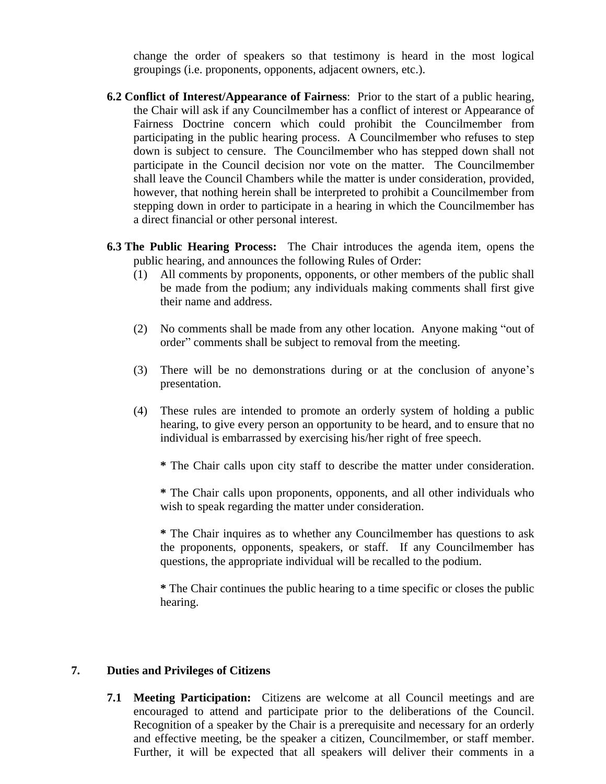change the order of speakers so that testimony is heard in the most logical groupings (i.e. proponents, opponents, adjacent owners, etc.).

- **6.2 Conflict of Interest/Appearance of Fairness**: Prior to the start of a public hearing, the Chair will ask if any Councilmember has a conflict of interest or Appearance of Fairness Doctrine concern which could prohibit the Councilmember from participating in the public hearing process. A Councilmember who refuses to step down is subject to censure. The Councilmember who has stepped down shall not participate in the Council decision nor vote on the matter. The Councilmember shall leave the Council Chambers while the matter is under consideration, provided, however, that nothing herein shall be interpreted to prohibit a Councilmember from stepping down in order to participate in a hearing in which the Councilmember has a direct financial or other personal interest.
- **6.3 The Public Hearing Process:** The Chair introduces the agenda item, opens the public hearing, and announces the following Rules of Order:
	- (1) All comments by proponents, opponents, or other members of the public shall be made from the podium; any individuals making comments shall first give their name and address.
	- (2) No comments shall be made from any other location. Anyone making "out of order" comments shall be subject to removal from the meeting.
	- (3) There will be no demonstrations during or at the conclusion of anyone's presentation.
	- (4) These rules are intended to promote an orderly system of holding a public hearing, to give every person an opportunity to be heard, and to ensure that no individual is embarrassed by exercising his/her right of free speech.
		- **\*** The Chair calls upon city staff to describe the matter under consideration.

**\*** The Chair calls upon proponents, opponents, and all other individuals who wish to speak regarding the matter under consideration.

**\*** The Chair inquires as to whether any Councilmember has questions to ask the proponents, opponents, speakers, or staff. If any Councilmember has questions, the appropriate individual will be recalled to the podium.

**\*** The Chair continues the public hearing to a time specific or closes the public hearing.

#### **7. Duties and Privileges of Citizens**

**7.1 Meeting Participation:** Citizens are welcome at all Council meetings and are encouraged to attend and participate prior to the deliberations of the Council. Recognition of a speaker by the Chair is a prerequisite and necessary for an orderly and effective meeting, be the speaker a citizen, Councilmember, or staff member. Further, it will be expected that all speakers will deliver their comments in a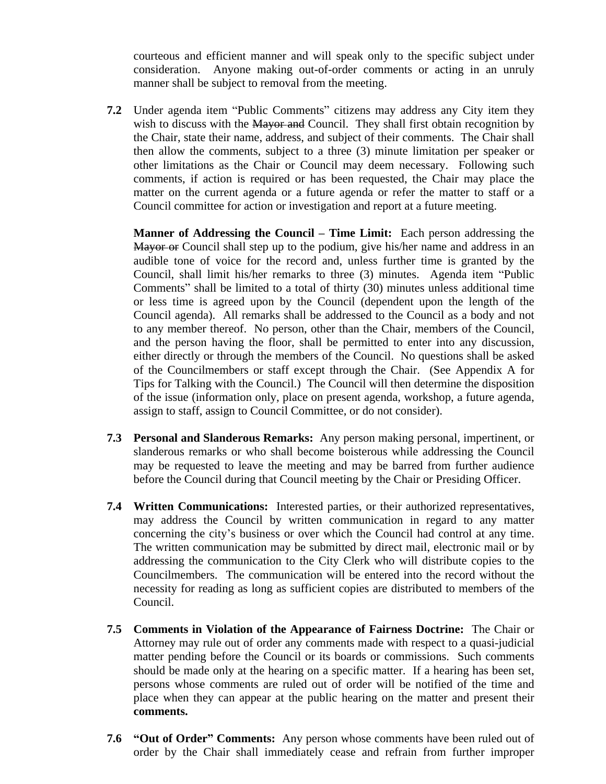courteous and efficient manner and will speak only to the specific subject under consideration. Anyone making out-of-order comments or acting in an unruly manner shall be subject to removal from the meeting.

**7.2** Under agenda item "Public Comments" citizens may address any City item they wish to discuss with the Mayor and Council. They shall first obtain recognition by the Chair, state their name, address, and subject of their comments. The Chair shall then allow the comments, subject to a three (3) minute limitation per speaker or other limitations as the Chair or Council may deem necessary. Following such comments, if action is required or has been requested, the Chair may place the matter on the current agenda or a future agenda or refer the matter to staff or a Council committee for action or investigation and report at a future meeting.

**Manner of Addressing the Council – Time Limit:** Each person addressing the Mayor or Council shall step up to the podium, give his/her name and address in an audible tone of voice for the record and, unless further time is granted by the Council, shall limit his/her remarks to three (3) minutes. Agenda item "Public Comments" shall be limited to a total of thirty (30) minutes unless additional time or less time is agreed upon by the Council (dependent upon the length of the Council agenda). All remarks shall be addressed to the Council as a body and not to any member thereof. No person, other than the Chair, members of the Council, and the person having the floor, shall be permitted to enter into any discussion, either directly or through the members of the Council. No questions shall be asked of the Councilmembers or staff except through the Chair. (See Appendix A for Tips for Talking with the Council.) The Council will then determine the disposition of the issue (information only, place on present agenda, workshop, a future agenda, assign to staff, assign to Council Committee, or do not consider).

- **7.3 Personal and Slanderous Remarks:** Any person making personal, impertinent, or slanderous remarks or who shall become boisterous while addressing the Council may be requested to leave the meeting and may be barred from further audience before the Council during that Council meeting by the Chair or Presiding Officer.
- **7.4 Written Communications:** Interested parties, or their authorized representatives, may address the Council by written communication in regard to any matter concerning the city's business or over which the Council had control at any time. The written communication may be submitted by direct mail, electronic mail or by addressing the communication to the City Clerk who will distribute copies to the Councilmembers. The communication will be entered into the record without the necessity for reading as long as sufficient copies are distributed to members of the Council.
- **7.5 Comments in Violation of the Appearance of Fairness Doctrine:** The Chair or Attorney may rule out of order any comments made with respect to a quasi-judicial matter pending before the Council or its boards or commissions. Such comments should be made only at the hearing on a specific matter. If a hearing has been set, persons whose comments are ruled out of order will be notified of the time and place when they can appear at the public hearing on the matter and present their **comments.**
- **7.6 "Out of Order" Comments:** Any person whose comments have been ruled out of order by the Chair shall immediately cease and refrain from further improper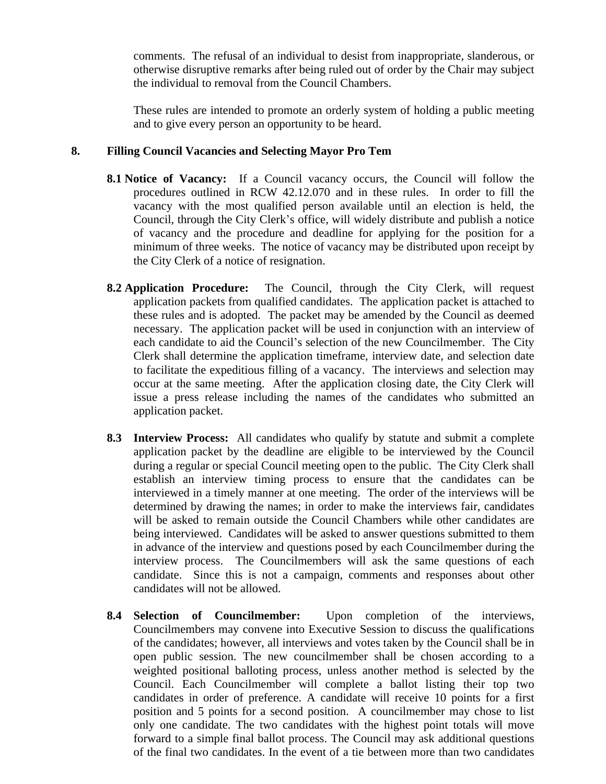comments. The refusal of an individual to desist from inappropriate, slanderous, or otherwise disruptive remarks after being ruled out of order by the Chair may subject the individual to removal from the Council Chambers.

These rules are intended to promote an orderly system of holding a public meeting and to give every person an opportunity to be heard.

### **8. Filling Council Vacancies and Selecting Mayor Pro Tem**

- **8.1 Notice of Vacancy:** If a Council vacancy occurs, the Council will follow the procedures outlined in RCW 42.12.070 and in these rules. In order to fill the vacancy with the most qualified person available until an election is held, the Council, through the City Clerk's office, will widely distribute and publish a notice of vacancy and the procedure and deadline for applying for the position for a minimum of three weeks. The notice of vacancy may be distributed upon receipt by the City Clerk of a notice of resignation.
- **8.2 Application Procedure:** The Council, through the City Clerk, will request application packets from qualified candidates. The application packet is attached to these rules and is adopted. The packet may be amended by the Council as deemed necessary. The application packet will be used in conjunction with an interview of each candidate to aid the Council's selection of the new Councilmember. The City Clerk shall determine the application timeframe, interview date, and selection date to facilitate the expeditious filling of a vacancy. The interviews and selection may occur at the same meeting. After the application closing date, the City Clerk will issue a press release including the names of the candidates who submitted an application packet.
- **8.3 Interview Process:** All candidates who qualify by statute and submit a complete application packet by the deadline are eligible to be interviewed by the Council during a regular or special Council meeting open to the public. The City Clerk shall establish an interview timing process to ensure that the candidates can be interviewed in a timely manner at one meeting. The order of the interviews will be determined by drawing the names; in order to make the interviews fair, candidates will be asked to remain outside the Council Chambers while other candidates are being interviewed. Candidates will be asked to answer questions submitted to them in advance of the interview and questions posed by each Councilmember during the interview process. The Councilmembers will ask the same questions of each candidate. Since this is not a campaign, comments and responses about other candidates will not be allowed.
- **8.4 Selection of Councilmember:** Upon completion of the interviews, Councilmembers may convene into Executive Session to discuss the qualifications of the candidates; however, all interviews and votes taken by the Council shall be in open public session. The new councilmember shall be chosen according to a weighted positional balloting process, unless another method is selected by the Council. Each Councilmember will complete a ballot listing their top two candidates in order of preference. A candidate will receive 10 points for a first position and 5 points for a second position. A councilmember may chose to list only one candidate. The two candidates with the highest point totals will move forward to a simple final ballot process. The Council may ask additional questions of the final two candidates. In the event of a tie between more than two candidates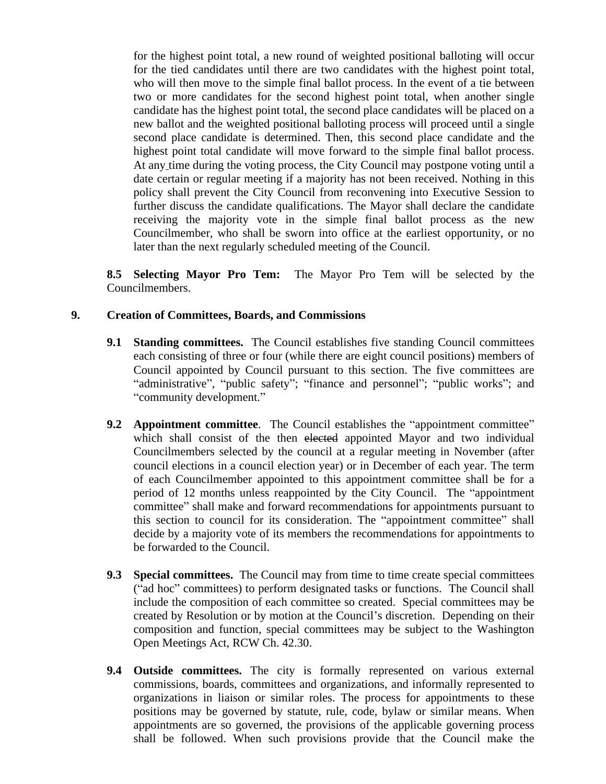for the highest point total, a new round of weighted positional balloting will occur for the tied candidates until there are two candidates with the highest point total, who will then move to the simple final ballot process. In the event of a tie between two or more candidates for the second highest point total, when another single candidate has the highest point total, the second place candidates will be placed on a new ballot and the weighted positional balloting process will proceed until a single second place candidate is determined. Then, this second place candidate and the highest point total candidate will move forward to the simple final ballot process. At any time during the voting process, the City Council may postpone voting until a date certain or regular meeting if a majority has not been received. Nothing in this policy shall prevent the City Council from reconvening into Executive Session to further discuss the candidate qualifications. The Mayor shall declare the candidate receiving the majority vote in the simple final ballot process as the new Councilmember, who shall be sworn into office at the earliest opportunity, or no later than the next regularly scheduled meeting of the Council.

**8.5 Selecting Mayor Pro Tem:** The Mayor Pro Tem will be selected by the Councilmembers.

#### **9. Creation of Committees, Boards, and Commissions**

- **9.1 Standing committees.** The Council establishes five standing Council committees each consisting of three or four (while there are eight council positions) members of Council appointed by Council pursuant to this section. The five committees are "administrative", "public safety"; "finance and personnel"; "public works"; and "community development."
- **9.2 Appointment committee**. The Council establishes the "appointment committee" which shall consist of the then elected appointed Mayor and two individual Councilmembers selected by the council at a regular meeting in November (after council elections in a council election year) or in December of each year. The term of each Councilmember appointed to this appointment committee shall be for a period of 12 months unless reappointed by the City Council. The "appointment committee" shall make and forward recommendations for appointments pursuant to this section to council for its consideration. The "appointment committee" shall decide by a majority vote of its members the recommendations for appointments to be forwarded to the Council.
- **9.3 Special committees.** The Council may from time to time create special committees ("ad hoc" committees) to perform designated tasks or functions. The Council shall include the composition of each committee so created. Special committees may be created by Resolution or by motion at the Council's discretion. Depending on their composition and function, special committees may be subject to the Washington Open Meetings Act, RCW Ch. 42.30.
- **9.4 Outside committees.** The city is formally represented on various external commissions, boards, committees and organizations, and informally represented to organizations in liaison or similar roles. The process for appointments to these positions may be governed by statute, rule, code, bylaw or similar means. When appointments are so governed, the provisions of the applicable governing process shall be followed. When such provisions provide that the Council make the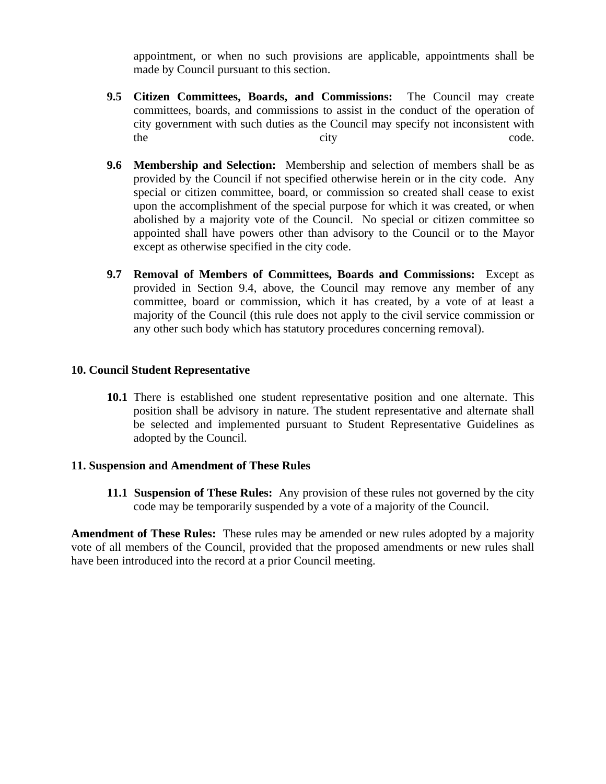appointment, or when no such provisions are applicable, appointments shall be made by Council pursuant to this section.

- **9.5 Citizen Committees, Boards, and Commissions:** The Council may create committees, boards, and commissions to assist in the conduct of the operation of city government with such duties as the Council may specify not inconsistent with the city code.
- **9.6 Membership and Selection:** Membership and selection of members shall be as provided by the Council if not specified otherwise herein or in the city code. Any special or citizen committee, board, or commission so created shall cease to exist upon the accomplishment of the special purpose for which it was created, or when abolished by a majority vote of the Council. No special or citizen committee so appointed shall have powers other than advisory to the Council or to the Mayor except as otherwise specified in the city code.
- **9.7 Removal of Members of Committees, Boards and Commissions:** Except as provided in Section 9.4, above, the Council may remove any member of any committee, board or commission, which it has created, by a vote of at least a majority of the Council (this rule does not apply to the civil service commission or any other such body which has statutory procedures concerning removal).

#### **10. Council Student Representative**

**10.1** There is established one student representative position and one alternate. This position shall be advisory in nature. The student representative and alternate shall be selected and implemented pursuant to Student Representative Guidelines as adopted by the Council.

#### **11. Suspension and Amendment of These Rules**

**11.1 Suspension of These Rules:** Any provision of these rules not governed by the city code may be temporarily suspended by a vote of a majority of the Council.

**Amendment of These Rules:** These rules may be amended or new rules adopted by a majority vote of all members of the Council, provided that the proposed amendments or new rules shall have been introduced into the record at a prior Council meeting.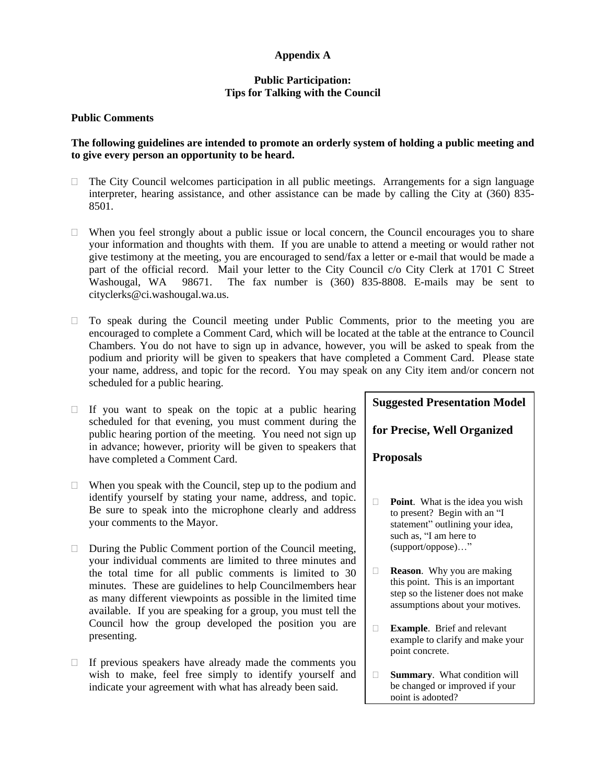#### **Appendix A**

#### **Public Participation: Tips for Talking with the Council**

#### **Public Comments**

#### **The following guidelines are intended to promote an orderly system of holding a public meeting and to give every person an opportunity to be heard.**

- $\Box$  The City Council welcomes participation in all public meetings. Arrangements for a sign language interpreter, hearing assistance, and other assistance can be made by calling the City at (360) 835- 8501.
- $\Box$  When you feel strongly about a public issue or local concern, the Council encourages you to share your information and thoughts with them. If you are unable to attend a meeting or would rather not give testimony at the meeting, you are encouraged to send/fax a letter or e-mail that would be made a part of the official record. Mail your letter to the City Council c/o City Clerk at 1701 C Street Washougal, WA 98671. The fax number is (360) 835-8808. E-mails may be sent to cityclerks@ci.washougal.wa.us.
- $\Box$  To speak during the Council meeting under Public Comments, prior to the meeting you are encouraged to complete a Comment Card, which will be located at the table at the entrance to Council Chambers. You do not have to sign up in advance, however, you will be asked to speak from the podium and priority will be given to speakers that have completed a Comment Card. Please state your name, address, and topic for the record. You may speak on any City item and/or concern not scheduled for a public hearing.
- $\Box$  If you want to speak on the topic at a public hearing scheduled for that evening, you must comment during the public hearing portion of the meeting. You need not sign up in advance; however, priority will be given to speakers that have completed a Comment Card.
- $\Box$  When you speak with the Council, step up to the podium and identify yourself by stating your name, address, and topic. Be sure to speak into the microphone clearly and address your comments to the Mayor.
- $\Box$  During the Public Comment portion of the Council meeting, your individual comments are limited to three minutes and the total time for all public comments is limited to 30 minutes. These are guidelines to help Councilmembers hear as many different viewpoints as possible in the limited time available. If you are speaking for a group, you must tell the Council how the group developed the position you are presenting.
- $\Box$  If previous speakers have already made the comments you wish to make, feel free simply to identify yourself and indicate your agreement with what has already been said.

# **Suggested Presentation Model**

**for Precise, Well Organized** 

**Proposals**

- **Point.** What is the idea you wish to present? Begin with an "I statement" outlining your idea, such as, "I am here to (support/oppose)…"
- **Reason.** Why you are making this point. This is an important step so the listener does not make assumptions about your motives.
- **Example**. Brief and relevant example to clarify and make your point concrete.
- **Summary**. What condition will be changed or improved if your point is adopted?